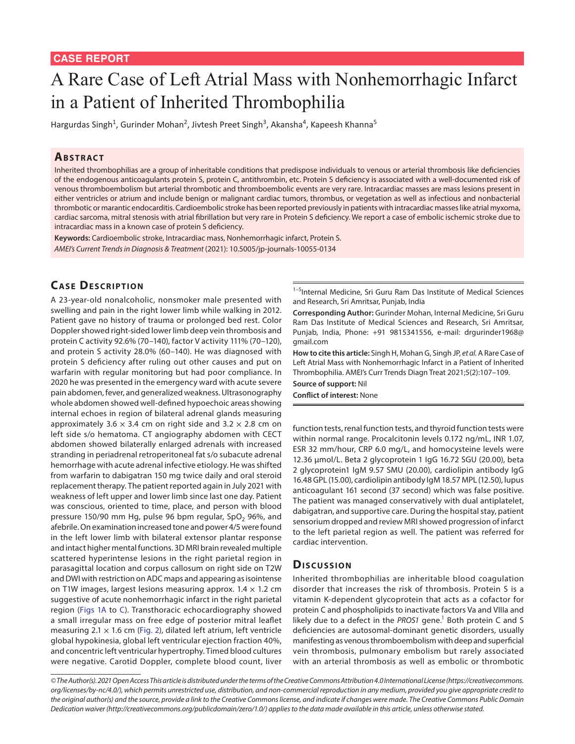# A Rare Case of Left Atrial Mass with Nonhemorrhagic Infarct in a Patient of Inherited Thrombophilia

Hargurdas Singh<sup>1</sup>, Gurinder Mohan<sup>2</sup>, Jivtesh Preet Singh<sup>3</sup>, Akansha<sup>4</sup>, Kapeesh Khanna<sup>5</sup>

#### **ABSTRACT**

Inherited thrombophilias are a group of inheritable conditions that predispose individuals to venous or arterial thrombosis like deficiencies of the endogenous anticoagulants protein S, protein C, antithrombin, etc. Protein S deficiency is associated with a well-documented risk of venous thromboembolism but arterial thrombotic and thromboembolic events are very rare. Intracardiac masses are mass lesions present in either ventricles or atrium and include benign or malignant cardiac tumors, thrombus, or vegetation as well as infectious and nonbacterial thrombotic or marantic endocarditis. Cardioembolic stroke has been reported previously in patients with intracardiac masses like atrial myxoma, cardiac sarcoma, mitral stenosis with atrial fibrillation but very rare in Protein S deficiency. We report a case of embolic ischemic stroke due to intracardiac mass in a known case of protein S deficiency.

**Keywords:** Cardioembolic stroke, Intracardiac mass, Nonhemorrhagic infarct, Protein S. *AMEI's Current Trends in Diagnosis & Treatment* (2021): 10.5005/jp-journals-10055-0134

## **CASE DESCRIPTION**

A 23-year-old nonalcoholic, nonsmoker male presented with swelling and pain in the right lower limb while walking in 2012. Patient gave no history of trauma or prolonged bed rest. Color Doppler showed right-sided lower limb deep vein thrombosis and protein C activity 92.6% (70–140), factor V activity 111% (70–120), and protein S activity 28.0% (60–140). He was diagnosed with protein S deficiency after ruling out other causes and put on warfarin with regular monitoring but had poor compliance. In 2020 he was presented in the emergency ward with acute severe pain abdomen, fever, and generalized weakness. Ultrasonography whole abdomen showed well-defined hypoechoic areas showing internal echoes in region of bilateral adrenal glands measuring approximately 3.6  $\times$  3.4 cm on right side and 3.2  $\times$  2.8 cm on left side s/o hematoma. CT angiography abdomen with CECT abdomen showed bilaterally enlarged adrenals with increased stranding in periadrenal retroperitoneal fat s/o subacute adrenal hemorrhage with acute adrenal infective etiology. He was shifted from warfarin to dabigatran 150 mg twice daily and oral steroid replacement therapy. The patient reported again in July 2021 with weakness of left upper and lower limb since last one day. Patient was conscious, oriented to time, place, and person with blood pressure 150/90 mm Hg, pulse 96 bpm regular,  $SpO<sub>2</sub>$  96%, and afebrile. On examination increased tone and power 4/5 were found in the left lower limb with bilateral extensor plantar response and intact higher mental functions. 3D MRI brain revealed multiple scattered hyperintense lesions in the right parietal region in parasagittal location and corpus callosum on right side on T2W and DWI with restriction on ADC maps and appearing as isointense on T1W images, largest lesions measuring approx.  $1.4 \times 1.2$  cm suggestive of acute nonhemorrhagic infarct in the right parietal region [\(Figs 1A](#page-1-0) to [C\)](#page-1-0). Transthoracic echocardiography showed a small irregular mass on free edge of posterior mitral leaflet measuring 2.1  $\times$  1.6 cm ([Fig. 2\)](#page-1-1), dilated left atrium, left ventricle global hypokinesia, global left ventricular ejection fraction 40%, and concentric left ventricular hypertrophy. Timed blood cultures were negative. Carotid Doppler, complete blood count, liver

<sup>1-5</sup>Internal Medicine, Sri Guru Ram Das Institute of Medical Sciences and Research, Sri Amritsar, Punjab, India

**Corresponding Author:** Gurinder Mohan, Internal Medicine, Sri Guru Ram Das Institute of Medical Sciences and Research, Sri Amritsar, Punjab, India, Phone: +91 9815341556, e-mail: drgurinder1968@ gmail.com

**How to cite this article:** Singh H, Mohan G, Singh JP, *et al.* A Rare Case of Left Atrial Mass with Nonhemorrhagic Infarct in a Patient of Inherited Thrombophilia. AMEI's Curr Trends Diagn Treat 2021;5(2):107–109.

**Source of support:** Nil **Conflict of interest:** None

function tests, renal function tests, and thyroid function tests were within normal range. Procalcitonin levels 0.172 ng/mL, INR 1.07, ESR 32 mm/hour, CRP 6.0 mg/L, and homocysteine levels were 12.36 µmol/L. Beta 2 glycoprotein 1 IgG 16.72 SGU (20.00), beta 2 glycoprotein1 IgM 9.57 SMU (20.00), cardiolipin antibody IgG 16.48 GPL (15.00), cardiolipin antibody IgM 18.57 MPL (12.50), lupus anticoagulant 161 second (37 second) which was false positive. The patient was managed conservatively with dual antiplatelet, dabigatran, and supportive care. During the hospital stay, patient sensorium dropped and review MRI showed progression of infarct to the left parietal region as well. The patient was referred for cardiac intervention.

### Discussion

Inherited thrombophilias are inheritable blood coagulation disorder that increases the risk of thrombosis. Protein S is a vitamin K-dependent glycoprotein that acts as a cofactor for protein C and phospholipids to inactivate factors Va and VIIIa and likely due to a defect in the PROS1 gene.<sup>1</sup> Both protein C and S deficiencies are autosomal-dominant genetic disorders, usually manifesting as venous thromboembolism with deep and superficial vein thrombosis, pulmonary embolism but rarely associated with an arterial thrombosis as well as embolic or thrombotic

*<sup>©</sup> The Author(s). 2021 Open Access This article is distributed under the terms of the Creative Commons Attribution 4.0 International License ([https://creativecommons.](https://creativecommons. org/licenses/by-nc/4.0/) [org/licenses/by-nc/4.0/](https://creativecommons. org/licenses/by-nc/4.0/)), which permits unrestricted use, distribution, and non-commercial reproduction in any medium, provided you give appropriate credit to the original author(s) and the source, provide a link to the Creative Commons license, and indicate if changes were made. The Creative Commons Public Domain Dedication waiver ([http://creativecommons.org/publicdomain/zero/1.0/\)](http://creativecommons.org/publicdomain/zero/1.0/) applies to the data made available in this article, unless otherwise stated.*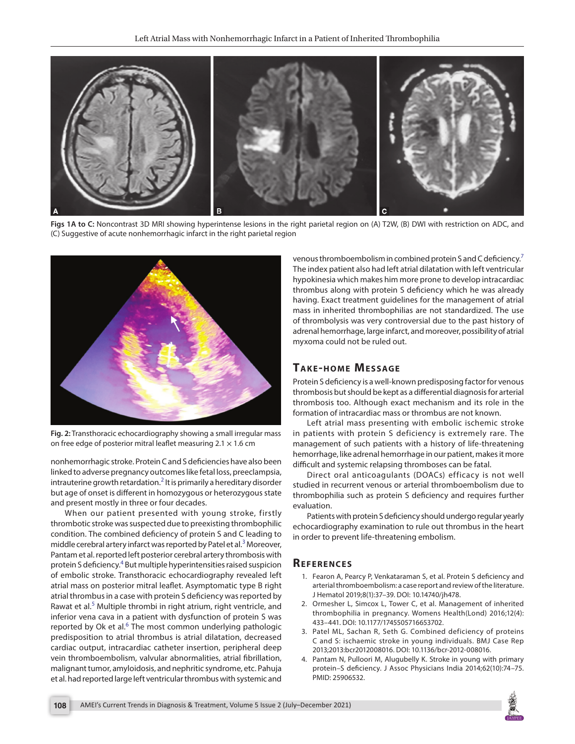

**Figs 1A to C:** Noncontrast 3D MRI showing hyperintense lesions in the right parietal region on (A) T2W, (B) DWI with restriction on ADC, and (C) Suggestive of acute nonhemorrhagic infarct in the right parietal region

<span id="page-1-0"></span>

<span id="page-1-1"></span>**Fig. 2:** Transthoracic echocardiography showing a small irregular mass on free edge of posterior mitral leaflet measuring  $2.1 \times 1.6$  cm

nonhemorrhagic stroke. Protein C and S deficiencies have also been linked to adverse pregnancy outcomes like fetal loss, preeclampsia, intrauterine growth retardation.<sup>[2](#page-1-3)</sup> It is primarily a hereditary disorder but age of onset is different in homozygous or heterozygous state and present mostly in three or four decades.

When our patient presented with young stroke, firstly thrombotic stroke was suspected due to preexisting thrombophilic condition. The combined deficiency of protein S and C leading to middle cerebral artery infarct was reported by Patel et al.<sup>[3](#page-1-4)</sup> Moreover, Pantam et al. reported left posterior cerebral artery thrombosis with protein S deficiency.<sup>4</sup> But multiple hyperintensities raised suspicion of embolic stroke. Transthoracic echocardiography revealed left atrial mass on posterior mitral leaflet. Asymptomatic type B right atrial thrombus in a case with protein S deficiency was reported by Rawat et al.<sup>[5](#page-2-0)</sup> Multiple thrombi in right atrium, right ventricle, and inferior vena cava in a patient with dysfunction of protein S was reported by Ok et al.<sup>[6](#page-2-1)</sup> The most common underlying pathologic predisposition to atrial thrombus is atrial dilatation, decreased cardiac output, intracardiac catheter insertion, peripheral deep vein thromboembolism, valvular abnormalities, atrial fibrillation, malignant tumor, amyloidosis, and nephritic syndrome, etc. Pahuja et al. had reported large left ventricular thrombus with systemic and

venous thromboembolism in combined protein S and C deficiency.<sup>[7](#page-2-2)</sup> The index patient also had left atrial dilatation with left ventricular hypokinesia which makes him more prone to develop intracardiac thrombus along with protein S deficiency which he was already having. Exact treatment guidelines for the management of atrial mass in inherited thrombophilias are not standardized. The use of thrombolysis was very controversial due to the past history of adrenal hemorrhage, large infarct, and moreover, possibility of atrial myxoma could not be ruled out.

## **TAKE-HOME MESSAGE**

Protein S deficiency is a well-known predisposing factor for venous thrombosis but should be kept as a differential diagnosis for arterial thrombosis too. Although exact mechanism and its role in the formation of intracardiac mass or thrombus are not known.

Left atrial mass presenting with embolic ischemic stroke in patients with protein S deficiency is extremely rare. The management of such patients with a history of life-threatening hemorrhage, like adrenal hemorrhage in our patient, makes it more difficult and systemic relapsing thromboses can be fatal.

Direct oral anticoagulants (DOACs) efficacy is not well studied in recurrent venous or arterial thromboembolism due to thrombophilia such as protein S deficiency and requires further evaluation.

Patients with protein S deficiency should undergo regular yearly echocardiography examination to rule out thrombus in the heart in order to prevent life-threatening embolism.

### **Re f e r e n c e s**

- <span id="page-1-2"></span>1. Fearon A, Pearcy P, Venkataraman S, et al. Protein S deficiency and arterial thromboembolism: a case report and review of the literature. J Hematol 2019;8(1):37–39. DOI: 10.14740/jh478.
- <span id="page-1-3"></span>2. Ormesher L, Simcox L, Tower C, et al. Management of inherited thrombophilia in pregnancy. Womens Health(Lond) 2016;12(4): 433–441. DOI: 10.1177/1745505716653702.
- <span id="page-1-4"></span>3. Patel ML, Sachan R, Seth G. Combined deficiency of proteins C and S: ischaemic stroke in young individuals. BMJ Case Rep 2013;2013:bcr2012008016. DOI: 10.1136/bcr-2012-008016.
- <span id="page-1-5"></span>4. Pantam N, Pulloori M, Alugubelly K. Stroke in young with primary protein–S deficiency. J Assoc Physicians India 2014;62(10):74–75. PMID: 25906532.